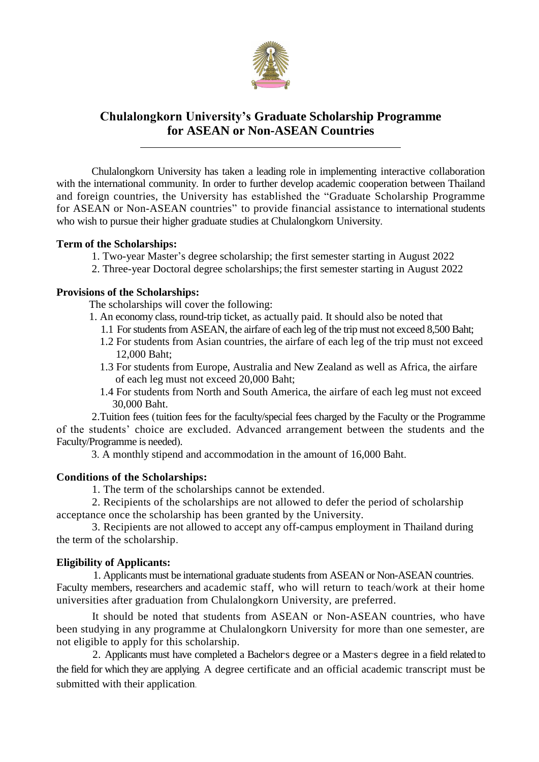

# **Chulalongkorn University's Graduate Scholarship Programme for ASEAN or Non-ASEAN Countries**

Chulalongkorn University has taken a leading role in implementing interactive collaboration with the international community. In order to further develop academic cooperation between Thailand and foreign countries, the University has established the "Graduate Scholarship Programme for ASEAN or Non-ASEAN countries" to provide financial assistance to international students who wish to pursue their higher graduate studies at Chulalongkorn University.

# **Term of the Scholarships:**

- 1. Two-year Master's degree scholarship; the first semester starting in August 2022
- 2. Three-year Doctoral degree scholarships; the first semester starting in August 2022

# **Provisions of the Scholarships:**

The scholarships will cover the following:

- 1. An economy class, round-trip ticket, as actually paid. It should also be noted that
	- 1.1 For students from ASEAN, the airfare of each leg of the trip must not exceed 8,500 Baht;
	- 1.2 For students from Asian countries, the airfare of each leg of the trip must not exceed 12,000 Baht;
	- 1.3 For students from Europe, Australia and New Zealand as well as Africa, the airfare of each leg must not exceed 20,000 Baht;
	- 1.4 For students from North and South America, the airfare of each leg must not exceed 30,000 Baht.

 2.Tuition fees (tuition fees for the faculty/special fees charged by the Faculty or the Programme of the students' choice are excluded. Advanced arrangement between the students and the Faculty/Programme is needed).

3. A monthly stipend and accommodation in the amount of 16,000 Baht.

# **Conditions of the Scholarships:**

1. The term of the scholarships cannot be extended.

2. Recipients of the scholarships are not allowed to defer the period of scholarship acceptance once the scholarship has been granted by the University.

3. Recipients are not allowed to accept any off-campus employment in Thailand during the term of the scholarship.

## **Eligibility of Applicants:**

 1. Applicants must be international graduate students from ASEAN or Non-ASEAN countries. Faculty members, researchers and academic staff, who will return to teach/work at their home universities after graduation from Chulalongkorn University, are preferred.

It should be noted that students from ASEAN or Non-ASEAN countries, who have been studying in any programme at Chulalongkorn University for more than one semester, are not eligible to apply for this scholarship.

 2. Applicants must have completed a Bachelor's degree or a Master's degree in a field related to the field for which they are applying. A degree certificate and an official academic transcript must be submitted with their application.